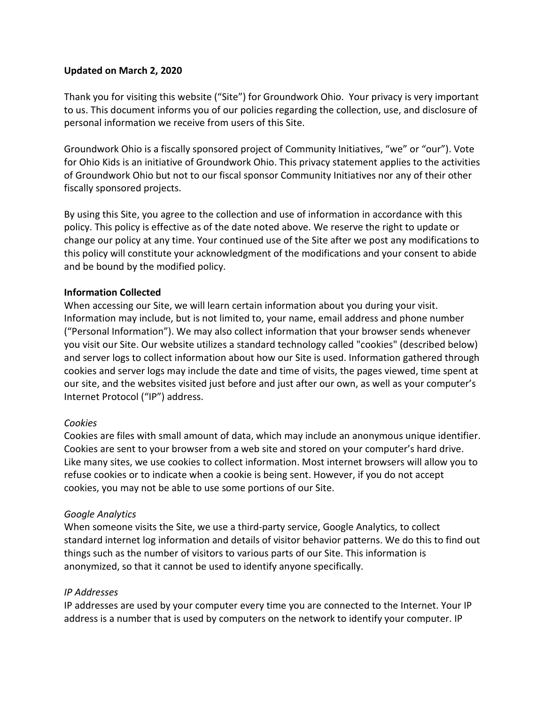## **Updated on March 2, 2020**

Thank you for visiting this website ("Site") for Groundwork Ohio. Your privacy is very important to us. This document informs you of our policies regarding the collection, use, and disclosure of personal information we receive from users of this Site.

Groundwork Ohio is a fiscally sponsored project of Community Initiatives, "we" or "our"). Vote for Ohio Kids is an initiative of Groundwork Ohio. This privacy statement applies to the activities of Groundwork Ohio but not to our fiscal sponsor Community Initiatives nor any of their other fiscally sponsored projects.

By using this Site, you agree to the collection and use of information in accordance with this policy. This policy is effective as of the date noted above. We reserve the right to update or change our policy at any time. Your continued use of the Site after we post any modifications to this policy will constitute your acknowledgment of the modifications and your consent to abide and be bound by the modified policy.

## **Information Collected**

When accessing our Site, we will learn certain information about you during your visit. Information may include, but is not limited to, your name, email address and phone number ("Personal Information"). We may also collect information that your browser sends whenever you visit our Site. Our website utilizes a standard technology called "cookies" (described below) and server logs to collect information about how our Site is used. Information gathered through cookies and server logs may include the date and time of visits, the pages viewed, time spent at our site, and the websites visited just before and just after our own, as well as your computer's Internet Protocol ("IP") address.

### *Cookies*

Cookies are files with small amount of data, which may include an anonymous unique identifier. Cookies are sent to your browser from a web site and stored on your computer's hard drive. Like many sites, we use cookies to collect information. Most internet browsers will allow you to refuse cookies or to indicate when a cookie is being sent. However, if you do not accept cookies, you may not be able to use some portions of our Site.

### *Google Analytics*

When someone visits the Site, we use a third-party service, Google Analytics, to collect standard internet log information and details of visitor behavior patterns. We do this to find out things such as the number of visitors to various parts of our Site. This information is anonymized, so that it cannot be used to identify anyone specifically.

### *IP Addresses*

IP addresses are used by your computer every time you are connected to the Internet. Your IP address is a number that is used by computers on the network to identify your computer. IP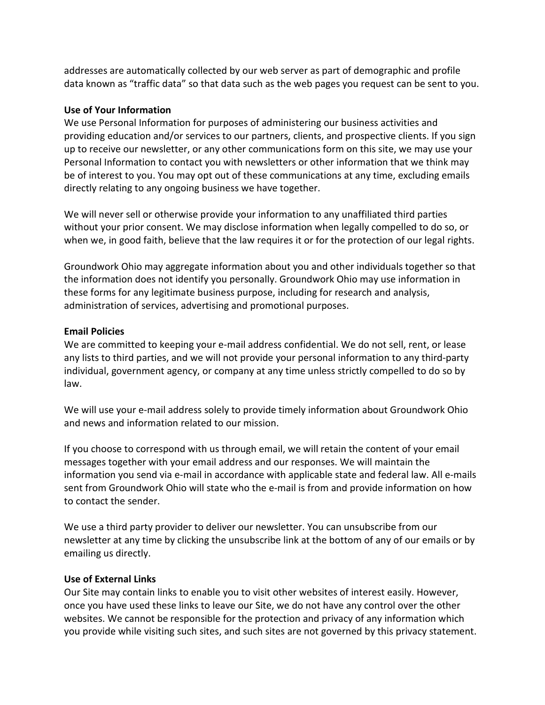addresses are automatically collected by our web server as part of demographic and profile data known as "traffic data" so that data such as the web pages you request can be sent to you.

## **Use of Your Information**

We use Personal Information for purposes of administering our business activities and providing education and/or services to our partners, clients, and prospective clients. If you sign up to receive our newsletter, or any other communications form on this site, we may use your Personal Information to contact you with newsletters or other information that we think may be of interest to you. You may opt out of these communications at any time, excluding emails directly relating to any ongoing business we have together.

We will never sell or otherwise provide your information to any unaffiliated third parties without your prior consent. We may disclose information when legally compelled to do so, or when we, in good faith, believe that the law requires it or for the protection of our legal rights.

Groundwork Ohio may aggregate information about you and other individuals together so that the information does not identify you personally. Groundwork Ohio may use information in these forms for any legitimate business purpose, including for research and analysis, administration of services, advertising and promotional purposes.

## **Email Policies**

We are committed to keeping your e-mail address confidential. We do not sell, rent, or lease any lists to third parties, and we will not provide your personal information to any third-party individual, government agency, or company at any time unless strictly compelled to do so by law.

We will use your e-mail address solely to provide timely information about Groundwork Ohio and news and information related to our mission.

If you choose to correspond with us through email, we will retain the content of your email messages together with your email address and our responses. We will maintain the information you send via e-mail in accordance with applicable state and federal law. All e-mails sent from Groundwork Ohio will state who the e-mail is from and provide information on how to contact the sender.

We use a third party provider to deliver our newsletter. You can unsubscribe from our newsletter at any time by clicking the unsubscribe link at the bottom of any of our emails or by emailing us directly.

### **Use of External Links**

Our Site may contain links to enable you to visit other websites of interest easily. However, once you have used these links to leave our Site, we do not have any control over the other websites. We cannot be responsible for the protection and privacy of any information which you provide while visiting such sites, and such sites are not governed by this privacy statement.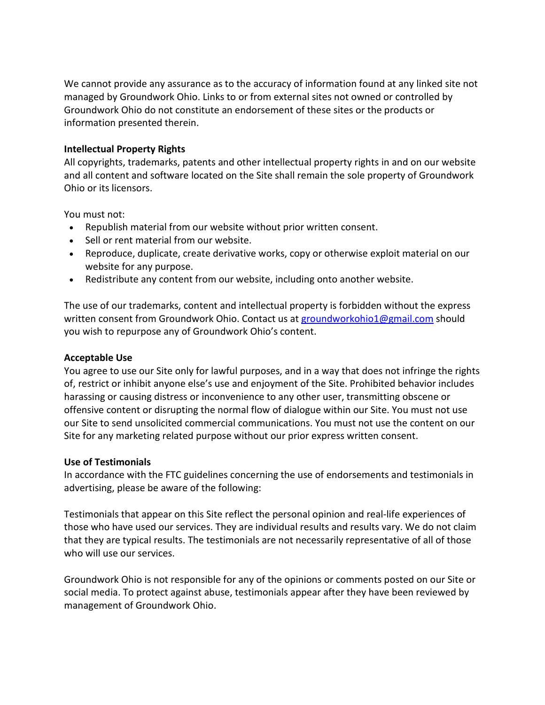We cannot provide any assurance as to the accuracy of information found at any linked site not managed by Groundwork Ohio. Links to or from external sites not owned or controlled by Groundwork Ohio do not constitute an endorsement of these sites or the products or information presented therein.

### **Intellectual Property Rights**

All copyrights, trademarks, patents and other intellectual property rights in and on our website and all content and software located on the Site shall remain the sole property of Groundwork Ohio or its licensors.

You must not:

- Republish material from our website without prior written consent.
- Sell or rent material from our website.
- Reproduce, duplicate, create derivative works, copy or otherwise exploit material on our website for any purpose.
- Redistribute any content from our website, including onto another website.

The use of our trademarks, content and intellectual property is forbidden without the express written consent from Groundwork Ohio. Contact us at [groundworkohio1@gmail.com](mailto:groundworkohio1@gmail.com) should you wish to repurpose any of Groundwork Ohio's content.

# **Acceptable Use**

You agree to use our Site only for lawful purposes, and in a way that does not infringe the rights of, restrict or inhibit anyone else's use and enjoyment of the Site. Prohibited behavior includes harassing or causing distress or inconvenience to any other user, transmitting obscene or offensive content or disrupting the normal flow of dialogue within our Site. You must not use our Site to send unsolicited commercial communications. You must not use the content on our Site for any marketing related purpose without our prior express written consent.

### **Use of Testimonials**

In accordance with the FTC guidelines concerning the use of endorsements and testimonials in advertising, please be aware of the following:

Testimonials that appear on this Site reflect the personal opinion and real-life experiences of those who have used our services. They are individual results and results vary. We do not claim that they are typical results. The testimonials are not necessarily representative of all of those who will use our services.

Groundwork Ohio is not responsible for any of the opinions or comments posted on our Site or social media. To protect against abuse, testimonials appear after they have been reviewed by management of Groundwork Ohio.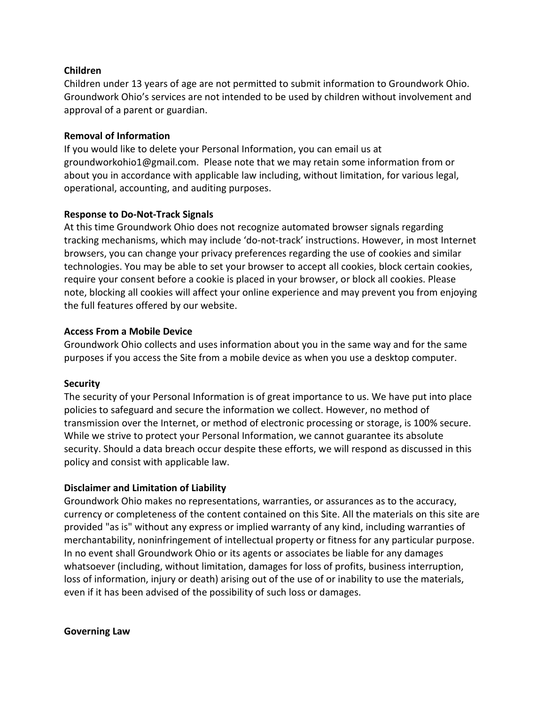### **Children**

Children under 13 years of age are not permitted to submit information to Groundwork Ohio. Groundwork Ohio's services are not intended to be used by children without involvement and approval of a parent or guardian.

### **Removal of Information**

If you would like to delete your Personal Information, you can email us at groundworkohio1@gmail.com. Please note that we may retain some information from or about you in accordance with applicable law including, without limitation, for various legal, operational, accounting, and auditing purposes.

### **Response to Do-Not-Track Signals**

At this time Groundwork Ohio does not recognize automated browser signals regarding tracking mechanisms, which may include 'do-not-track' instructions. However, in most Internet browsers, you can change your privacy preferences regarding the use of cookies and similar technologies. You may be able to set your browser to accept all cookies, block certain cookies, require your consent before a cookie is placed in your browser, or block all cookies. Please note, blocking all cookies will affect your online experience and may prevent you from enjoying the full features offered by our website.

#### **Access From a Mobile Device**

Groundwork Ohio collects and uses information about you in the same way and for the same purposes if you access the Site from a mobile device as when you use a desktop computer.

### **Security**

The security of your Personal Information is of great importance to us. We have put into place policies to safeguard and secure the information we collect. However, no method of transmission over the Internet, or method of electronic processing or storage, is 100% secure. While we strive to protect your Personal Information, we cannot guarantee its absolute security. Should a data breach occur despite these efforts, we will respond as discussed in this policy and consist with applicable law.

### **Disclaimer and Limitation of Liability**

Groundwork Ohio makes no representations, warranties, or assurances as to the accuracy, currency or completeness of the content contained on this Site. All the materials on this site are provided "as is" without any express or implied warranty of any kind, including warranties of merchantability, noninfringement of intellectual property or fitness for any particular purpose. In no event shall Groundwork Ohio or its agents or associates be liable for any damages whatsoever (including, without limitation, damages for loss of profits, business interruption, loss of information, injury or death) arising out of the use of or inability to use the materials, even if it has been advised of the possibility of such loss or damages.

#### **Governing Law**